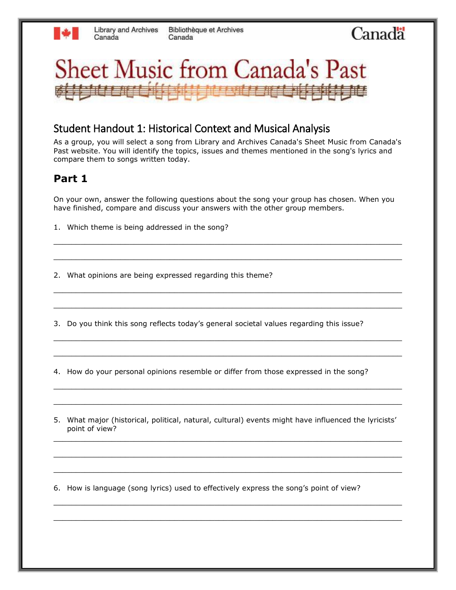## Canada



### Student Handout 1: Historical Context and Musical Analysis

As a group, you will select a song from Library and Archives Canada's Sheet Music from Canada's Past website. You will identify the topics, issues and themes mentioned in the song's lyrics and compare them to songs written today.

#### **Part 1**

On your own, answer the following questions about the song your group has chosen. When you have finished, compare and discuss your answers with the other group members.

\_\_\_\_\_\_\_\_\_\_\_\_\_\_\_\_\_\_\_\_\_\_\_\_\_\_\_\_\_\_\_\_\_\_\_\_\_\_\_\_\_\_\_\_\_\_\_\_\_\_\_\_\_\_\_\_\_\_\_\_\_\_\_\_\_\_\_\_\_\_\_\_\_\_\_\_\_\_

\_\_\_\_\_\_\_\_\_\_\_\_\_\_\_\_\_\_\_\_\_\_\_\_\_\_\_\_\_\_\_\_\_\_\_\_\_\_\_\_\_\_\_\_\_\_\_\_\_\_\_\_\_\_\_\_\_\_\_\_\_\_\_\_\_\_\_\_\_\_\_\_\_\_\_\_\_\_

\_\_\_\_\_\_\_\_\_\_\_\_\_\_\_\_\_\_\_\_\_\_\_\_\_\_\_\_\_\_\_\_\_\_\_\_\_\_\_\_\_\_\_\_\_\_\_\_\_\_\_\_\_\_\_\_\_\_\_\_\_\_\_\_\_\_\_\_\_\_\_\_\_\_\_\_\_\_

\_\_\_\_\_\_\_\_\_\_\_\_\_\_\_\_\_\_\_\_\_\_\_\_\_\_\_\_\_\_\_\_\_\_\_\_\_\_\_\_\_\_\_\_\_\_\_\_\_\_\_\_\_\_\_\_\_\_\_\_\_\_\_\_\_\_\_\_\_\_\_\_\_\_\_\_\_\_

\_\_\_\_\_\_\_\_\_\_\_\_\_\_\_\_\_\_\_\_\_\_\_\_\_\_\_\_\_\_\_\_\_\_\_\_\_\_\_\_\_\_\_\_\_\_\_\_\_\_\_\_\_\_\_\_\_\_\_\_\_\_\_\_\_\_\_\_\_\_\_\_\_\_\_\_\_\_

\_\_\_\_\_\_\_\_\_\_\_\_\_\_\_\_\_\_\_\_\_\_\_\_\_\_\_\_\_\_\_\_\_\_\_\_\_\_\_\_\_\_\_\_\_\_\_\_\_\_\_\_\_\_\_\_\_\_\_\_\_\_\_\_\_\_\_\_\_\_\_\_\_\_\_\_\_\_

\_\_\_\_\_\_\_\_\_\_\_\_\_\_\_\_\_\_\_\_\_\_\_\_\_\_\_\_\_\_\_\_\_\_\_\_\_\_\_\_\_\_\_\_\_\_\_\_\_\_\_\_\_\_\_\_\_\_\_\_\_\_\_\_\_\_\_\_\_\_\_\_\_\_\_\_\_\_

\_\_\_\_\_\_\_\_\_\_\_\_\_\_\_\_\_\_\_\_\_\_\_\_\_\_\_\_\_\_\_\_\_\_\_\_\_\_\_\_\_\_\_\_\_\_\_\_\_\_\_\_\_\_\_\_\_\_\_\_\_\_\_\_\_\_\_\_\_\_\_\_\_\_\_\_\_\_

1. Which theme is being addressed in the song?

2. What opinions are being expressed regarding this theme?

3. Do you think this song reflects today's general societal values regarding this issue?

4. How do your personal opinions resemble or differ from those expressed in the song?

5. What major (historical, political, natural, cultural) events might have influenced the lyricists' point of view? \_\_\_\_\_\_\_\_\_\_\_\_\_\_\_\_\_\_\_\_\_\_\_\_\_\_\_\_\_\_\_\_\_\_\_\_\_\_\_\_\_\_\_\_\_\_\_\_\_\_\_\_\_\_\_\_\_\_\_\_\_\_\_\_\_\_\_\_\_\_\_\_\_\_\_\_\_\_

\_\_\_\_\_\_\_\_\_\_\_\_\_\_\_\_\_\_\_\_\_\_\_\_\_\_\_\_\_\_\_\_\_\_\_\_\_\_\_\_\_\_\_\_\_\_\_\_\_\_\_\_\_\_\_\_\_\_\_\_\_\_\_\_\_\_\_\_\_\_\_\_\_\_\_\_\_\_

\_\_\_\_\_\_\_\_\_\_\_\_\_\_\_\_\_\_\_\_\_\_\_\_\_\_\_\_\_\_\_\_\_\_\_\_\_\_\_\_\_\_\_\_\_\_\_\_\_\_\_\_\_\_\_\_\_\_\_\_\_\_\_\_\_\_\_\_\_\_\_\_\_\_\_\_\_\_

\_\_\_\_\_\_\_\_\_\_\_\_\_\_\_\_\_\_\_\_\_\_\_\_\_\_\_\_\_\_\_\_\_\_\_\_\_\_\_\_\_\_\_\_\_\_\_\_\_\_\_\_\_\_\_\_\_\_\_\_\_\_\_\_\_\_\_\_\_\_\_\_\_\_\_\_\_\_

\_\_\_\_\_\_\_\_\_\_\_\_\_\_\_\_\_\_\_\_\_\_\_\_\_\_\_\_\_\_\_\_\_\_\_\_\_\_\_\_\_\_\_\_\_\_\_\_\_\_\_\_\_\_\_\_\_\_\_\_\_\_\_\_\_\_\_\_\_\_\_\_\_\_\_\_\_\_

6. How is language (song lyrics) used to effectively express the song's point of view?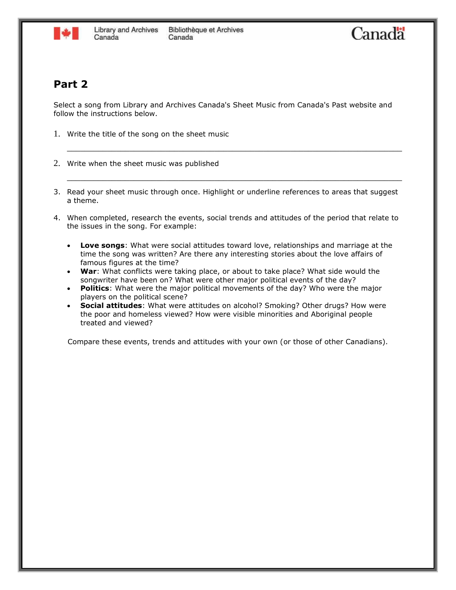

#### **Part 2**

Select a song from Library and Archives Canada's Sheet Music from Canada's Past website and follow the instructions below.

- 1. Write the title of the song on the sheet music
- 2. Write when the sheet music was published
- 3. Read your sheet music through once. Highlight or underline references to areas that suggest a theme.

\_\_\_\_\_\_\_\_\_\_\_\_\_\_\_\_\_\_\_\_\_\_\_\_\_\_\_\_\_\_\_\_\_\_\_\_\_\_\_\_\_\_\_\_\_\_\_\_\_\_\_\_\_\_\_\_\_\_\_\_\_\_\_\_\_\_\_\_\_\_\_\_\_\_\_

\_\_\_\_\_\_\_\_\_\_\_\_\_\_\_\_\_\_\_\_\_\_\_\_\_\_\_\_\_\_\_\_\_\_\_\_\_\_\_\_\_\_\_\_\_\_\_\_\_\_\_\_\_\_\_\_\_\_\_\_\_\_\_\_\_\_\_\_\_\_\_\_\_\_\_

- 4. When completed, research the events, social trends and attitudes of the period that relate to the issues in the song. For example:
	- **Love songs**: What were social attitudes toward love, relationships and marriage at the time the song was written? Are there any interesting stories about the love affairs of famous figures at the time?
	- **War**: What conflicts were taking place, or about to take place? What side would the songwriter have been on? What were other major political events of the day?
	- **Politics**: What were the major political movements of the day? Who were the major players on the political scene?
	- **Social attitudes**: What were attitudes on alcohol? Smoking? Other drugs? How were the poor and homeless viewed? How were visible minorities and Aboriginal people treated and viewed?

Compare these events, trends and attitudes with your own (or those of other Canadians).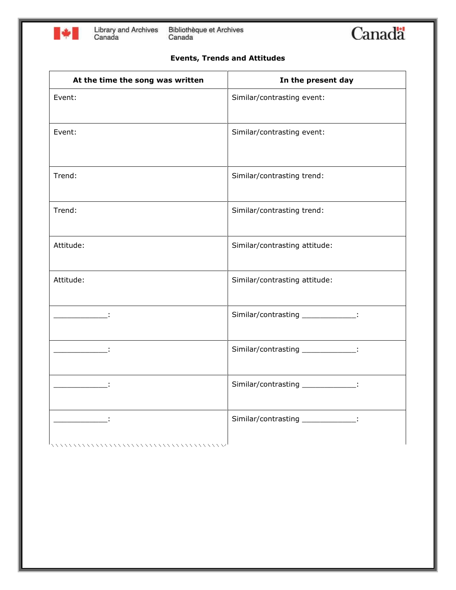

Bibliothèque et Archives<br>Canada

# Canada

#### **Events, Trends and Attitudes**

| At the time the song was written                              | In the present day                 |
|---------------------------------------------------------------|------------------------------------|
| Event:                                                        | Similar/contrasting event:         |
| Event:                                                        | Similar/contrasting event:         |
| Trend:                                                        | Similar/contrasting trend:         |
| Trend:                                                        | Similar/contrasting trend:         |
| Attitude:                                                     | Similar/contrasting attitude:      |
| Attitude:                                                     | Similar/contrasting attitude:      |
|                                                               | Similar/contrasting _____________: |
|                                                               | Similar/contrasting _____________: |
| <u> 1999 - Jan Bar</u>                                        | Similar/contrasting _____________: |
| and the state of the state of<br>,,,,,,,,,,,,,,,,,,,,,,,,,,,, | Similar/contrasting _____________: |